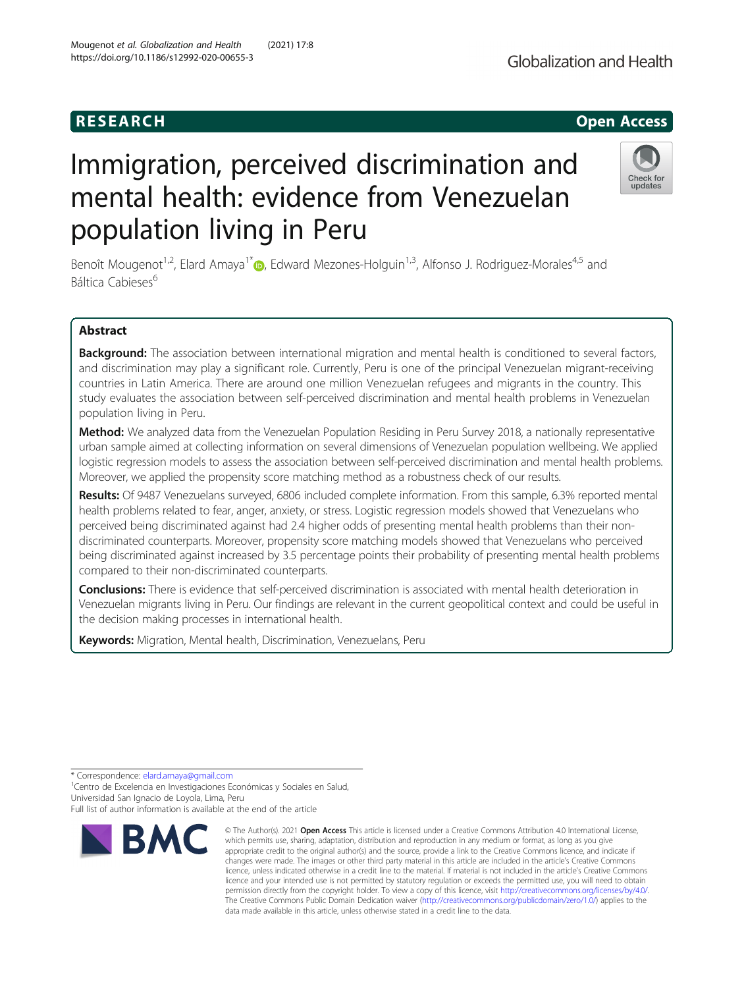# Immigration, perceived discrimination and mental health: evidence from Venezuelan population living in Peru

Benoît Mougenot<sup>1[,](http://orcid.org/0000-0003-4899-0616)2</sup>, Elard Amaya<sup>1\*</sup> <sub>(b)</sub>, Edward Mezones-Holguin<sup>1,3</sup>, Alfonso J. Rodriguez-Morales<sup>4,5</sup> and Báltica Cabieses<sup>6</sup>

# Abstract

Background: The association between international migration and mental health is conditioned to several factors, and discrimination may play a significant role. Currently, Peru is one of the principal Venezuelan migrant-receiving countries in Latin America. There are around one million Venezuelan refugees and migrants in the country. This study evaluates the association between self-perceived discrimination and mental health problems in Venezuelan population living in Peru.

Method: We analyzed data from the Venezuelan Population Residing in Peru Survey 2018, a nationally representative urban sample aimed at collecting information on several dimensions of Venezuelan population wellbeing. We applied logistic regression models to assess the association between self-perceived discrimination and mental health problems. Moreover, we applied the propensity score matching method as a robustness check of our results.

Results: Of 9487 Venezuelans surveyed, 6806 included complete information. From this sample, 6.3% reported mental health problems related to fear, anger, anxiety, or stress. Logistic regression models showed that Venezuelans who perceived being discriminated against had 2.4 higher odds of presenting mental health problems than their nondiscriminated counterparts. Moreover, propensity score matching models showed that Venezuelans who perceived being discriminated against increased by 3.5 percentage points their probability of presenting mental health problems compared to their non-discriminated counterparts.

Conclusions: There is evidence that self-perceived discrimination is associated with mental health deterioration in Venezuelan migrants living in Peru. Our findings are relevant in the current geopolitical context and could be useful in the decision making processes in international health.

data made available in this article, unless otherwise stated in a credit line to the data.

© The Author(s), 2021 **Open Access** This article is licensed under a Creative Commons Attribution 4.0 International License, which permits use, sharing, adaptation, distribution and reproduction in any medium or format, as long as you give appropriate credit to the original author(s) and the source, provide a link to the Creative Commons licence, and indicate if changes were made. The images or other third party material in this article are included in the article's Creative Commons licence, unless indicated otherwise in a credit line to the material. If material is not included in the article's Creative Commons licence and your intended use is not permitted by statutory regulation or exceeds the permitted use, you will need to obtain permission directly from the copyright holder. To view a copy of this licence, visit [http://creativecommons.org/licenses/by/4.0/.](http://creativecommons.org/licenses/by/4.0/) The Creative Commons Public Domain Dedication waiver [\(http://creativecommons.org/publicdomain/zero/1.0/](http://creativecommons.org/publicdomain/zero/1.0/)) applies to the

Keywords: Migration, Mental health, Discrimination, Venezuelans, Peru

\* Correspondence: [elard.amaya@gmail.com](mailto:elard.amaya@gmail.com) <sup>1</sup>

<sup>1</sup> Centro de Excelencia en Investigaciones Económicas y Sociales en Salud, Universidad San Ignacio de Loyola, Lima, Peru







Full list of author information is available at the end of the article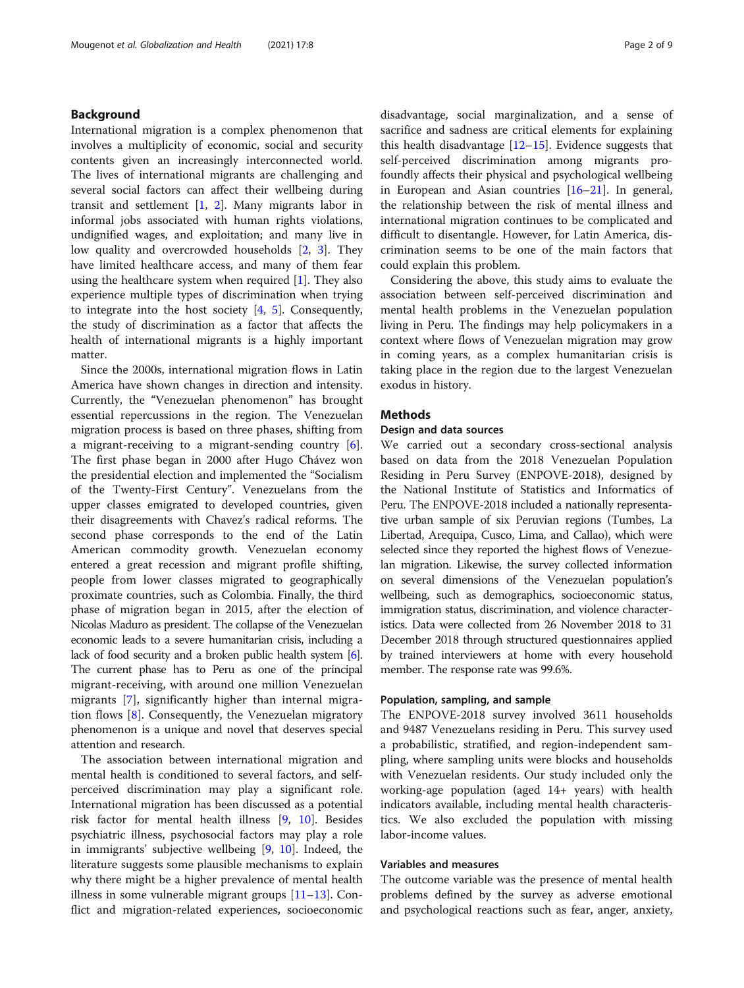# Background

International migration is a complex phenomenon that involves a multiplicity of economic, social and security contents given an increasingly interconnected world. The lives of international migrants are challenging and several social factors can affect their wellbeing during transit and settlement [\[1](#page-7-0), [2](#page-7-0)]. Many migrants labor in informal jobs associated with human rights violations, undignified wages, and exploitation; and many live in low quality and overcrowded households [\[2,](#page-7-0) [3](#page-7-0)]. They have limited healthcare access, and many of them fear using the healthcare system when required [\[1\]](#page-7-0). They also experience multiple types of discrimination when trying to integrate into the host society [\[4,](#page-7-0) [5\]](#page-7-0). Consequently, the study of discrimination as a factor that affects the health of international migrants is a highly important matter.

Since the 2000s, international migration flows in Latin America have shown changes in direction and intensity. Currently, the "Venezuelan phenomenon" has brought essential repercussions in the region. The Venezuelan migration process is based on three phases, shifting from a migrant-receiving to a migrant-sending country [\[6](#page-7-0)]. The first phase began in 2000 after Hugo Chávez won the presidential election and implemented the "Socialism of the Twenty-First Century". Venezuelans from the upper classes emigrated to developed countries, given their disagreements with Chavez's radical reforms. The second phase corresponds to the end of the Latin American commodity growth. Venezuelan economy entered a great recession and migrant profile shifting, people from lower classes migrated to geographically proximate countries, such as Colombia. Finally, the third phase of migration began in 2015, after the election of Nicolas Maduro as president. The collapse of the Venezuelan economic leads to a severe humanitarian crisis, including a lack of food security and a broken public health system [\[6\]](#page-7-0). The current phase has to Peru as one of the principal migrant-receiving, with around one million Venezuelan migrants [\[7](#page-7-0)], significantly higher than internal migration flows [\[8](#page-7-0)]. Consequently, the Venezuelan migratory phenomenon is a unique and novel that deserves special attention and research.

The association between international migration and mental health is conditioned to several factors, and selfperceived discrimination may play a significant role. International migration has been discussed as a potential risk factor for mental health illness [[9,](#page-7-0) [10\]](#page-7-0). Besides psychiatric illness, psychosocial factors may play a role in immigrants' subjective wellbeing [\[9](#page-7-0), [10\]](#page-7-0). Indeed, the literature suggests some plausible mechanisms to explain why there might be a higher prevalence of mental health illness in some vulnerable migrant groups [[11](#page-7-0)–[13](#page-7-0)]. Conflict and migration-related experiences, socioeconomic disadvantage, social marginalization, and a sense of sacrifice and sadness are critical elements for explaining this health disadvantage  $[12-15]$  $[12-15]$  $[12-15]$  $[12-15]$  $[12-15]$ . Evidence suggests that self-perceived discrimination among migrants profoundly affects their physical and psychological wellbeing in European and Asian countries [[16](#page-7-0)–[21](#page-7-0)]. In general, the relationship between the risk of mental illness and international migration continues to be complicated and difficult to disentangle. However, for Latin America, discrimination seems to be one of the main factors that could explain this problem.

Considering the above, this study aims to evaluate the association between self-perceived discrimination and mental health problems in the Venezuelan population living in Peru. The findings may help policymakers in a context where flows of Venezuelan migration may grow in coming years, as a complex humanitarian crisis is taking place in the region due to the largest Venezuelan exodus in history.

# Methods

#### Design and data sources

We carried out a secondary cross-sectional analysis based on data from the 2018 Venezuelan Population Residing in Peru Survey (ENPOVE-2018), designed by the National Institute of Statistics and Informatics of Peru. The ENPOVE-2018 included a nationally representative urban sample of six Peruvian regions (Tumbes, La Libertad, Arequipa, Cusco, Lima, and Callao), which were selected since they reported the highest flows of Venezuelan migration. Likewise, the survey collected information on several dimensions of the Venezuelan population's wellbeing, such as demographics, socioeconomic status, immigration status, discrimination, and violence characteristics. Data were collected from 26 November 2018 to 31 December 2018 through structured questionnaires applied by trained interviewers at home with every household member. The response rate was 99.6%.

#### Population, sampling, and sample

The ENPOVE-2018 survey involved 3611 households and 9487 Venezuelans residing in Peru. This survey used a probabilistic, stratified, and region-independent sampling, where sampling units were blocks and households with Venezuelan residents. Our study included only the working-age population (aged 14+ years) with health indicators available, including mental health characteristics. We also excluded the population with missing labor-income values.

#### Variables and measures

The outcome variable was the presence of mental health problems defined by the survey as adverse emotional and psychological reactions such as fear, anger, anxiety,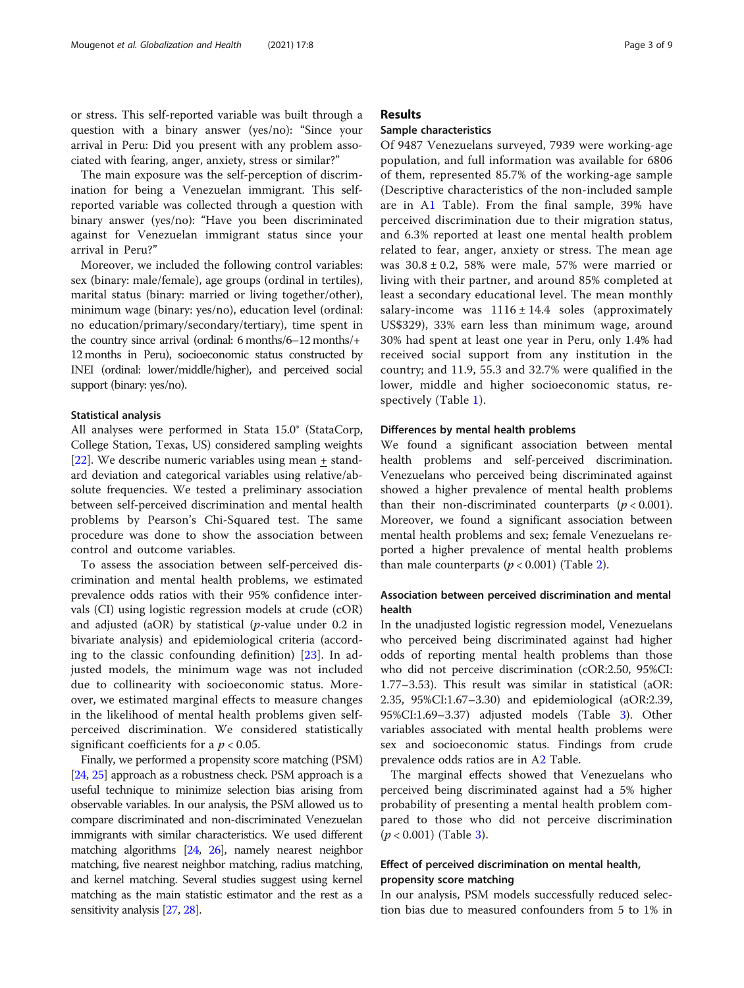or stress. This self-reported variable was built through a question with a binary answer (yes/no): "Since your arrival in Peru: Did you present with any problem associated with fearing, anger, anxiety, stress or similar?"

The main exposure was the self-perception of discrimination for being a Venezuelan immigrant. This selfreported variable was collected through a question with binary answer (yes/no): "Have you been discriminated against for Venezuelan immigrant status since your arrival in Peru?"

Moreover, we included the following control variables: sex (binary: male/female), age groups (ordinal in tertiles), marital status (binary: married or living together/other), minimum wage (binary: yes/no), education level (ordinal: no education/primary/secondary/tertiary), time spent in the country since arrival (ordinal: 6 months/6–12 months/+ 12 months in Peru), socioeconomic status constructed by INEI (ordinal: lower/middle/higher), and perceived social support (binary: yes/no).

#### Statistical analysis

All analyses were performed in Stata 15.0® (StataCorp, College Station, Texas, US) considered sampling weights [[22\]](#page-7-0). We describe numeric variables using mean  $+$  standard deviation and categorical variables using relative/absolute frequencies. We tested a preliminary association between self-perceived discrimination and mental health problems by Pearson's Chi-Squared test. The same procedure was done to show the association between control and outcome variables.

To assess the association between self-perceived discrimination and mental health problems, we estimated prevalence odds ratios with their 95% confidence intervals (CI) using logistic regression models at crude (cOR) and adjusted (aOR) by statistical ( $p$ -value under 0.2 in bivariate analysis) and epidemiological criteria (according to the classic confounding definition) [[23\]](#page-7-0). In adjusted models, the minimum wage was not included due to collinearity with socioeconomic status. Moreover, we estimated marginal effects to measure changes in the likelihood of mental health problems given selfperceived discrimination. We considered statistically significant coefficients for a  $p < 0.05$ .

Finally, we performed a propensity score matching (PSM) [[24](#page-7-0), [25](#page-7-0)] approach as a robustness check. PSM approach is a useful technique to minimize selection bias arising from observable variables. In our analysis, the PSM allowed us to compare discriminated and non-discriminated Venezuelan immigrants with similar characteristics. We used different matching algorithms [\[24](#page-7-0), [26\]](#page-7-0), namely nearest neighbor matching, five nearest neighbor matching, radius matching, and kernel matching. Several studies suggest using kernel matching as the main statistic estimator and the rest as a sensitivity analysis [\[27](#page-7-0), [28](#page-7-0)].

# Results

# Sample characteristics

Of 9487 Venezuelans surveyed, 7939 were working-age population, and full information was available for 6806 of them, represented 85.7% of the working-age sample (Descriptive characteristics of the non-included sample are in A[1](#page-6-0) Table). From the final sample, 39% have perceived discrimination due to their migration status, and 6.3% reported at least one mental health problem related to fear, anger, anxiety or stress. The mean age was  $30.8 \pm 0.2$ , 58% were male, 57% were married or living with their partner, and around 85% completed at least a secondary educational level. The mean monthly salary-income was  $1116 \pm 14.4$  soles (approximately US\$329), 33% earn less than minimum wage, around 30% had spent at least one year in Peru, only 1.4% had received social support from any institution in the country; and 11.9, 55.3 and 32.7% were qualified in the lower, middle and higher socioeconomic status, respectively (Table [1\)](#page-3-0).

#### Differences by mental health problems

We found a significant association between mental health problems and self-perceived discrimination. Venezuelans who perceived being discriminated against showed a higher prevalence of mental health problems than their non-discriminated counterparts  $(p < 0.001)$ . Moreover, we found a significant association between mental health problems and sex; female Venezuelans reported a higher prevalence of mental health problems than male counterparts  $(p < 0.001)$  (Table [2\)](#page-4-0).

# Association between perceived discrimination and mental health

In the unadjusted logistic regression model, Venezuelans who perceived being discriminated against had higher odds of reporting mental health problems than those who did not perceive discrimination (cOR:2.50, 95%CI: 1.77–3.53). This result was similar in statistical (aOR: 2.35, 95%CI:1.67–3.30) and epidemiological (aOR:2.39, 95%CI:1.69–3.37) adjusted models (Table [3](#page-4-0)). Other variables associated with mental health problems were sex and socioeconomic status. Findings from crude prevalence odds ratios are in [A2](#page-6-0) Table.

The marginal effects showed that Venezuelans who perceived being discriminated against had a 5% higher probability of presenting a mental health problem compared to those who did not perceive discrimination  $(p < 0.001)$  (Table [3\)](#page-4-0).

# Effect of perceived discrimination on mental health, propensity score matching

In our analysis, PSM models successfully reduced selection bias due to measured confounders from 5 to 1% in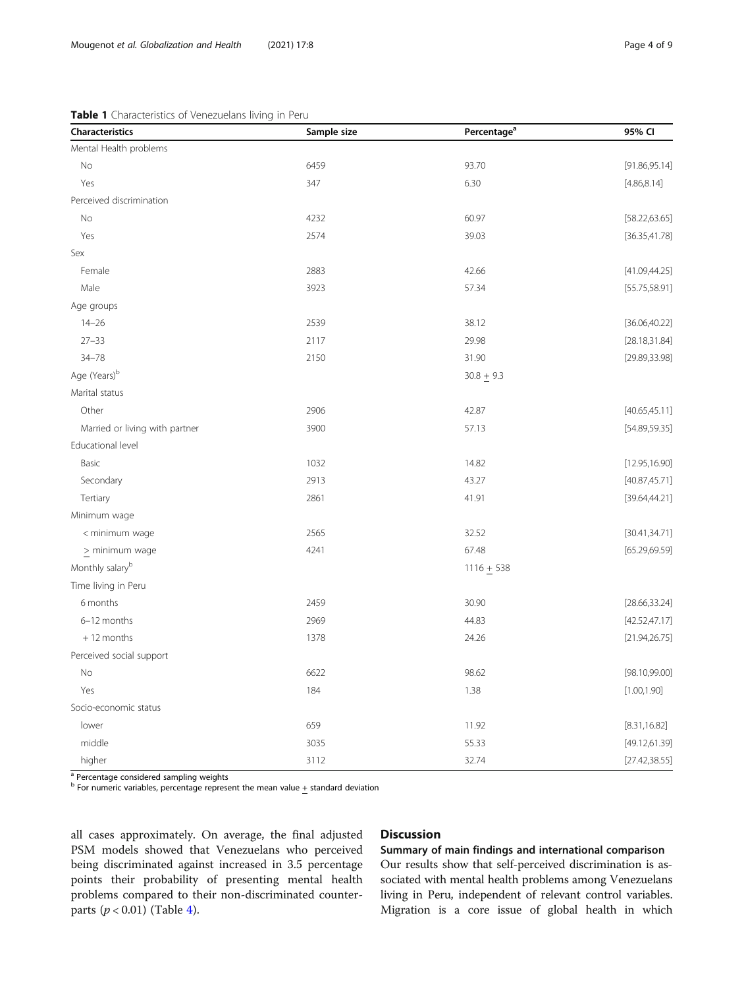# <span id="page-3-0"></span>Table 1 Characteristics of Venezuelans living in Peru

| Characteristics                | Sample size | Percentage <sup>a</sup> | 95% CI         |
|--------------------------------|-------------|-------------------------|----------------|
| Mental Health problems         |             |                         |                |
| No                             | 6459        | 93.70                   | [91.86, 95.14] |
| Yes                            | 347         | 6.30                    | [4.86, 8.14]   |
| Perceived discrimination       |             |                         |                |
| No                             | 4232        | 60.97                   | [58.22, 63.65] |
| Yes                            | 2574        | 39.03                   | [36.35, 41.78] |
| Sex                            |             |                         |                |
| Female                         | 2883        | 42.66                   | [41.09, 44.25] |
| Male                           | 3923        | 57.34                   | [55.75, 58.91] |
| Age groups                     |             |                         |                |
| $14 - 26$                      | 2539        | 38.12                   | [36.06, 40.22] |
| $27 - 33$                      | 2117        | 29.98                   | [28.18, 31.84] |
| $34 - 78$                      | 2150        | 31.90                   | [29.89, 33.98] |
| Age (Years) <sup>b</sup>       |             | $30.8 + 9.3$            |                |
| Marital status                 |             |                         |                |
| Other                          | 2906        | 42.87                   | [40.65, 45.11] |
| Married or living with partner | 3900        | 57.13                   | [54.89, 59.35] |
| Educational level              |             |                         |                |
| Basic                          | 1032        | 14.82                   | [12.95, 16.90] |
| Secondary                      | 2913        | 43.27                   | [40.87, 45.71] |
| Tertiary                       | 2861        | 41.91                   | [39.64, 44.21] |
| Minimum wage                   |             |                         |                |
| < minimum wage                 | 2565        | 32.52                   | [30.41, 34.71] |
| $\geq$ minimum wage            | 4241        | 67.48                   | [65.29, 69.59] |
| Monthly salary <sup>b</sup>    |             | $1116 + 538$            |                |
| Time living in Peru            |             |                         |                |
| 6 months                       | 2459        | 30.90                   | [28.66, 33.24] |
| 6-12 months                    | 2969        | 44.83                   | [42.52, 47.17] |
| $+12$ months                   | 1378        | 24.26                   | [21.94, 26.75] |
| Perceived social support       |             |                         |                |
| No                             | 6622        | 98.62                   | [98.10, 99.00] |
| Yes                            | 184         | 1.38                    | [1.00, 1.90]   |
| Socio-economic status          |             |                         |                |
| lower                          | 659         | 11.92                   | [8.31, 16.82]  |
| middle                         | 3035        | 55.33                   | [49.12, 61.39] |
| higher                         | 3112        | 32.74                   | [27.42, 38.55] |

<sup>a</sup> Percentage considered sampling weights

b For numeric variables, percentage represent the mean value + standard deviation

all cases approximately. On average, the final adjusted PSM models showed that Venezuelans who perceived being discriminated against increased in 3.5 percentage points their probability of presenting mental health problems compared to their non-discriminated counterparts  $(p < 0.01)$  (Table [4](#page-5-0)).

# **Discussion**

# Summary of main findings and international comparison

Our results show that self-perceived discrimination is associated with mental health problems among Venezuelans living in Peru, independent of relevant control variables. Migration is a core issue of global health in which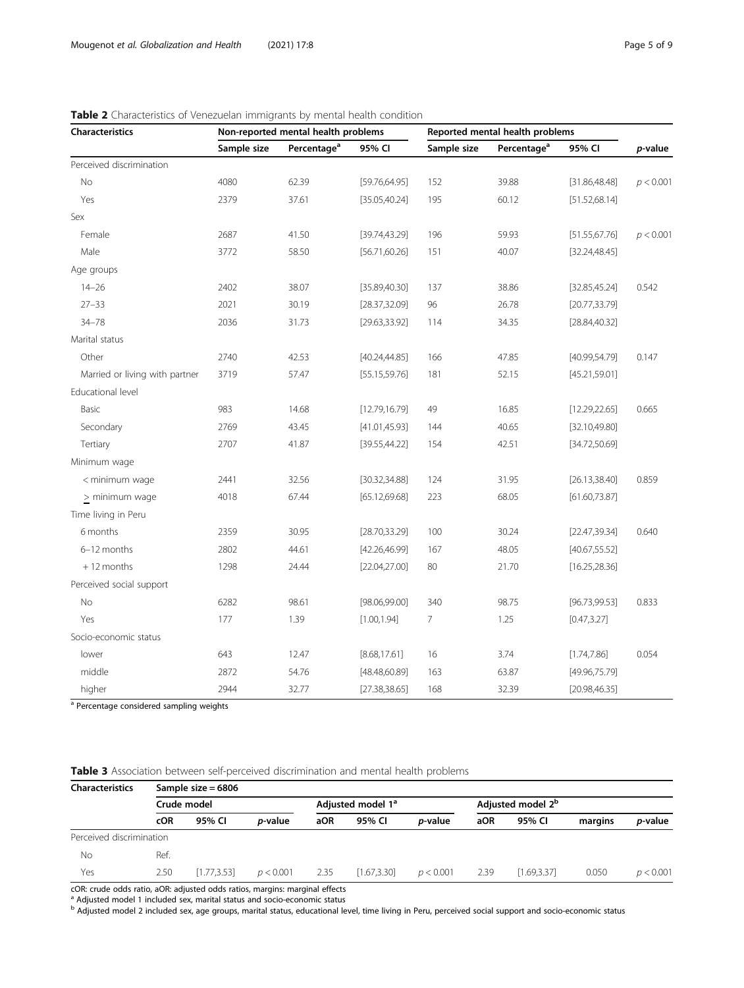| Characteristics                | Non-reported mental health problems |                         |                | Reported mental health problems |                         |                |           |
|--------------------------------|-------------------------------------|-------------------------|----------------|---------------------------------|-------------------------|----------------|-----------|
|                                | Sample size                         | Percentage <sup>a</sup> | 95% CI         | Sample size                     | Percentage <sup>a</sup> | 95% CI         | p-value   |
| Perceived discrimination       |                                     |                         |                |                                 |                         |                |           |
| No                             | 4080                                | 62.39                   | [59.76, 64.95] | 152                             | 39.88                   | [31.86, 48.48] | p < 0.001 |
| Yes                            | 2379                                | 37.61                   | [35.05, 40.24] | 195                             | 60.12                   | [51.52, 68.14] |           |
| Sex                            |                                     |                         |                |                                 |                         |                |           |
| Female                         | 2687                                | 41.50                   | [39.74, 43.29] | 196                             | 59.93                   | [51.55, 67.76] | p < 0.001 |
| Male                           | 3772                                | 58.50                   | [56.71, 60.26] | 151                             | 40.07                   | [32.24, 48.45] |           |
| Age groups                     |                                     |                         |                |                                 |                         |                |           |
| $14 - 26$                      | 2402                                | 38.07                   | [35.89,40.30]  | 137                             | 38.86                   | [32.85, 45.24] | 0.542     |
| $27 - 33$                      | 2021                                | 30.19                   | [28.37, 32.09] | 96                              | 26.78                   | [20.77, 33.79] |           |
| $34 - 78$                      | 2036                                | 31.73                   | [29.63, 33.92] | 114                             | 34.35                   | [28.84, 40.32] |           |
| Marital status                 |                                     |                         |                |                                 |                         |                |           |
| Other                          | 2740                                | 42.53                   | [40.24, 44.85] | 166                             | 47.85                   | [40.99, 54.79] | 0.147     |
| Married or living with partner | 3719                                | 57.47                   | [55.15, 59.76] | 181                             | 52.15                   | [45.21, 59.01] |           |
| Educational level              |                                     |                         |                |                                 |                         |                |           |
| Basic                          | 983                                 | 14.68                   | [12.79, 16.79] | 49                              | 16.85                   | [12.29, 22.65] | 0.665     |
| Secondary                      | 2769                                | 43.45                   | [41.01, 45.93] | 144                             | 40.65                   | [32.10,49.80]  |           |
| Tertiary                       | 2707                                | 41.87                   | [39.55, 44.22] | 154                             | 42.51                   | [34.72,50.69]  |           |
| Minimum wage                   |                                     |                         |                |                                 |                         |                |           |
| < minimum wage                 | 2441                                | 32.56                   | [30.32, 34.88] | 124                             | 31.95                   | [26.13, 38.40] | 0.859     |
| > minimum wage                 | 4018                                | 67.44                   | [65.12, 69.68] | 223                             | 68.05                   | [61.60, 73.87] |           |
| Time living in Peru            |                                     |                         |                |                                 |                         |                |           |
| 6 months                       | 2359                                | 30.95                   | [28.70, 33.29] | 100                             | 30.24                   | [22.47, 39.34] | 0.640     |
| 6-12 months                    | 2802                                | 44.61                   | [42.26,46.99]  | 167                             | 48.05                   | [40.67, 55.52] |           |
| $+12$ months                   | 1298                                | 24.44                   | [22.04, 27.00] | 80                              | 21.70                   | [16.25, 28.36] |           |
| Perceived social support       |                                     |                         |                |                                 |                         |                |           |
| No                             | 6282                                | 98.61                   | [98.06, 99.00] | 340                             | 98.75                   | [96.73, 99.53] | 0.833     |
| Yes                            | 177                                 | 1.39                    | [1.00, 1.94]   | 7                               | 1.25                    | [0.47, 3.27]   |           |
| Socio-economic status          |                                     |                         |                |                                 |                         |                |           |
| lower                          | 643                                 | 12.47                   | [8.68, 17.61]  | 16                              | 3.74                    | [1.74, 7.86]   | 0.054     |
| middle                         | 2872                                | 54.76                   | [48.48, 60.89] | 163                             | 63.87                   | [49.96, 75.79] |           |
| higher                         | 2944                                | 32.77                   | [27.38, 38.65] | 168                             | 32.39                   | [20.98, 46.35] |           |

<span id="page-4-0"></span>Table 2 Characteristics of Venezuelan immigrants by mental health condition

<sup>a</sup> Percentage considered sampling weights

Table 3 Association between self-perceived discrimination and mental health problems

| <b>Characteristics</b>   | Sample size $= 6806$ |              |                 |                               |             |                 |                               |             |         |                 |  |
|--------------------------|----------------------|--------------|-----------------|-------------------------------|-------------|-----------------|-------------------------------|-------------|---------|-----------------|--|
|                          | Crude model          |              |                 | Adjusted model 1 <sup>ª</sup> |             |                 | Adjusted model 2 <sup>b</sup> |             |         |                 |  |
|                          | <b>cOR</b>           | 95% CI       | <i>p</i> -value | aOR                           | 95% CI      | <i>p</i> -value | aOR                           | 95% CI      | margins | <i>p</i> -value |  |
| Perceived discrimination |                      |              |                 |                               |             |                 |                               |             |         |                 |  |
| No                       | Ref.                 |              |                 |                               |             |                 |                               |             |         |                 |  |
| Yes                      | 2.50                 | [1.77, 3.53] | p < 0.001       | 2.35                          | [1.67.3.30] | p < 0.001       | 2.39                          | [1.69.3.37] | 0.050   | p < 0.001       |  |

cOR: crude odds ratio, aOR: adjusted odds ratios, margins: marginal effects <sup>a</sup> Adjusted model 1 included sex, marital status and socio-economic status

b Adjusted model 2 included sex, age groups, marital status, educational level, time living in Peru, perceived social support and socio-economic status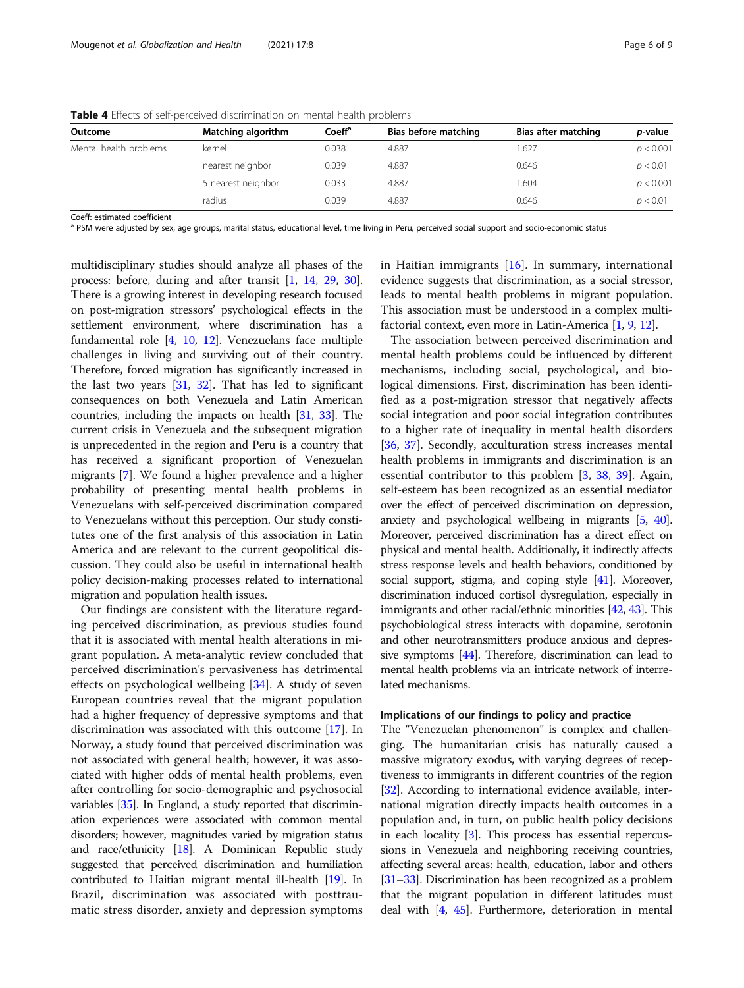| Outcome                | Matching algorithm | Coeff <sup>a</sup> | Bias before matching | Bias after matching | <i>p</i> -value |
|------------------------|--------------------|--------------------|----------------------|---------------------|-----------------|
| Mental health problems | kernel             | 0.038              | 4.887                | .627                | p < 0.001       |
|                        | nearest neighbor   | 0.039              | 4.887                | 0.646               | p < 0.01        |
|                        | 5 nearest neighbor | 0.033              | 4.887                | .604                | p < 0.001       |
|                        | radius             | 0.039              | 4.887                | 0.646               | p < 0.01        |

<span id="page-5-0"></span>Table 4 Effects of self-perceived discrimination on mental health problems

Coeff: estimated coefficient

<sup>a</sup> PSM were adjusted by sex, age groups, marital status, educational level, time living in Peru, perceived social support and socio-economic status

multidisciplinary studies should analyze all phases of the process: before, during and after transit [\[1](#page-7-0), [14,](#page-7-0) [29,](#page-7-0) [30](#page-7-0)]. There is a growing interest in developing research focused on post-migration stressors' psychological effects in the settlement environment, where discrimination has a fundamental role [[4,](#page-7-0) [10,](#page-7-0) [12](#page-7-0)]. Venezuelans face multiple challenges in living and surviving out of their country. Therefore, forced migration has significantly increased in the last two years [\[31,](#page-7-0) [32](#page-7-0)]. That has led to significant consequences on both Venezuela and Latin American countries, including the impacts on health [[31](#page-7-0), [33](#page-7-0)]. The current crisis in Venezuela and the subsequent migration is unprecedented in the region and Peru is a country that has received a significant proportion of Venezuelan migrants [\[7](#page-7-0)]. We found a higher prevalence and a higher probability of presenting mental health problems in Venezuelans with self-perceived discrimination compared to Venezuelans without this perception. Our study constitutes one of the first analysis of this association in Latin America and are relevant to the current geopolitical discussion. They could also be useful in international health policy decision-making processes related to international migration and population health issues.

Our findings are consistent with the literature regarding perceived discrimination, as previous studies found that it is associated with mental health alterations in migrant population. A meta-analytic review concluded that perceived discrimination's pervasiveness has detrimental effects on psychological wellbeing [[34\]](#page-7-0). A study of seven European countries reveal that the migrant population had a higher frequency of depressive symptoms and that discrimination was associated with this outcome [\[17](#page-7-0)]. In Norway, a study found that perceived discrimination was not associated with general health; however, it was associated with higher odds of mental health problems, even after controlling for socio-demographic and psychosocial variables [[35](#page-7-0)]. In England, a study reported that discrimination experiences were associated with common mental disorders; however, magnitudes varied by migration status and race/ethnicity [[18](#page-7-0)]. A Dominican Republic study suggested that perceived discrimination and humiliation contributed to Haitian migrant mental ill-health [\[19](#page-7-0)]. In Brazil, discrimination was associated with posttraumatic stress disorder, anxiety and depression symptoms in Haitian immigrants  $[16]$  $[16]$ . In summary, international evidence suggests that discrimination, as a social stressor, leads to mental health problems in migrant population. This association must be understood in a complex multifactorial context, even more in Latin-America [\[1,](#page-7-0) [9](#page-7-0), [12\]](#page-7-0).

The association between perceived discrimination and mental health problems could be influenced by different mechanisms, including social, psychological, and biological dimensions. First, discrimination has been identified as a post-migration stressor that negatively affects social integration and poor social integration contributes to a higher rate of inequality in mental health disorders [[36,](#page-7-0) [37\]](#page-7-0). Secondly, acculturation stress increases mental health problems in immigrants and discrimination is an essential contributor to this problem [\[3](#page-7-0), [38](#page-7-0), [39](#page-7-0)]. Again, self-esteem has been recognized as an essential mediator over the effect of perceived discrimination on depression, anxiety and psychological wellbeing in migrants [\[5,](#page-7-0) [40](#page-7-0)]. Moreover, perceived discrimination has a direct effect on physical and mental health. Additionally, it indirectly affects stress response levels and health behaviors, conditioned by social support, stigma, and coping style [\[41\]](#page-7-0). Moreover, discrimination induced cortisol dysregulation, especially in immigrants and other racial/ethnic minorities [[42](#page-7-0), [43](#page-7-0)]. This psychobiological stress interacts with dopamine, serotonin and other neurotransmitters produce anxious and depressive symptoms [\[44\]](#page-7-0). Therefore, discrimination can lead to mental health problems via an intricate network of interrelated mechanisms.

## Implications of our findings to policy and practice

The "Venezuelan phenomenon" is complex and challenging. The humanitarian crisis has naturally caused a massive migratory exodus, with varying degrees of receptiveness to immigrants in different countries of the region [[32](#page-7-0)]. According to international evidence available, international migration directly impacts health outcomes in a population and, in turn, on public health policy decisions in each locality [\[3\]](#page-7-0). This process has essential repercussions in Venezuela and neighboring receiving countries, affecting several areas: health, education, labor and others [[31](#page-7-0)–[33\]](#page-7-0). Discrimination has been recognized as a problem that the migrant population in different latitudes must deal with [[4](#page-7-0), [45](#page-7-0)]. Furthermore, deterioration in mental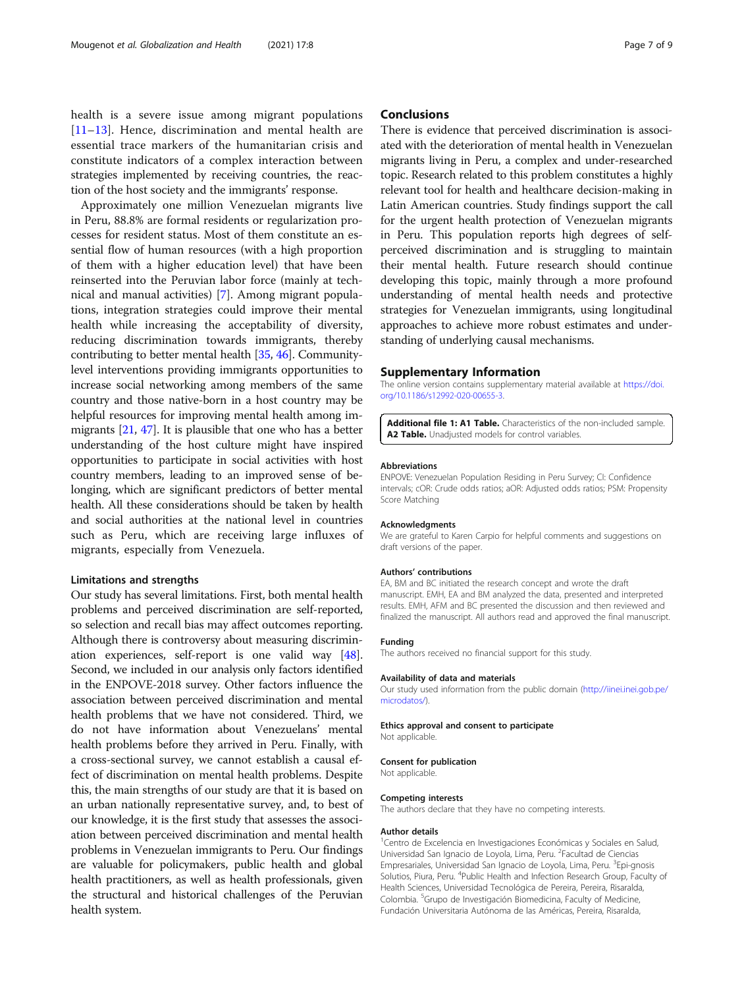<span id="page-6-0"></span>health is a severe issue among migrant populations [[11](#page-7-0)–[13\]](#page-7-0). Hence, discrimination and mental health are essential trace markers of the humanitarian crisis and constitute indicators of a complex interaction between strategies implemented by receiving countries, the reaction of the host society and the immigrants' response.

Approximately one million Venezuelan migrants live in Peru, 88.8% are formal residents or regularization processes for resident status. Most of them constitute an essential flow of human resources (with a high proportion of them with a higher education level) that have been reinserted into the Peruvian labor force (mainly at technical and manual activities) [\[7](#page-7-0)]. Among migrant populations, integration strategies could improve their mental health while increasing the acceptability of diversity, reducing discrimination towards immigrants, thereby contributing to better mental health [[35](#page-7-0), [46\]](#page-7-0). Communitylevel interventions providing immigrants opportunities to increase social networking among members of the same country and those native-born in a host country may be helpful resources for improving mental health among immigrants [\[21,](#page-7-0) [47](#page-8-0)]. It is plausible that one who has a better understanding of the host culture might have inspired opportunities to participate in social activities with host country members, leading to an improved sense of belonging, which are significant predictors of better mental health. All these considerations should be taken by health and social authorities at the national level in countries such as Peru, which are receiving large influxes of migrants, especially from Venezuela.

# Limitations and strengths

Our study has several limitations. First, both mental health problems and perceived discrimination are self-reported, so selection and recall bias may affect outcomes reporting. Although there is controversy about measuring discrimination experiences, self-report is one valid way [[48](#page-8-0)]. Second, we included in our analysis only factors identified in the ENPOVE-2018 survey. Other factors influence the association between perceived discrimination and mental health problems that we have not considered. Third, we do not have information about Venezuelans' mental health problems before they arrived in Peru. Finally, with a cross-sectional survey, we cannot establish a causal effect of discrimination on mental health problems. Despite this, the main strengths of our study are that it is based on an urban nationally representative survey, and, to best of our knowledge, it is the first study that assesses the association between perceived discrimination and mental health problems in Venezuelan immigrants to Peru. Our findings are valuable for policymakers, public health and global health practitioners, as well as health professionals, given the structural and historical challenges of the Peruvian health system.

# **Conclusions**

There is evidence that perceived discrimination is associated with the deterioration of mental health in Venezuelan migrants living in Peru, a complex and under-researched topic. Research related to this problem constitutes a highly relevant tool for health and healthcare decision-making in Latin American countries. Study findings support the call for the urgent health protection of Venezuelan migrants in Peru. This population reports high degrees of selfperceived discrimination and is struggling to maintain their mental health. Future research should continue developing this topic, mainly through a more profound understanding of mental health needs and protective strategies for Venezuelan immigrants, using longitudinal approaches to achieve more robust estimates and understanding of underlying causal mechanisms.

## Supplementary Information

The online version contains supplementary material available at [https://doi.](https://doi.org/10.1186/s12992-020-00655-3) [org/10.1186/s12992-020-00655-3.](https://doi.org/10.1186/s12992-020-00655-3)

Additional file 1: A1 Table. Characteristics of the non-included sample. A2 Table. Unadiusted models for control variables.

#### Abbreviations

ENPOVE: Venezuelan Population Residing in Peru Survey; CI: Confidence intervals; cOR: Crude odds ratios; aOR: Adjusted odds ratios; PSM: Propensity Score Matching

#### Acknowledgments

We are grateful to Karen Carpio for helpful comments and suggestions on draft versions of the paper.

#### Authors' contributions

EA, BM and BC initiated the research concept and wrote the draft manuscript. EMH, EA and BM analyzed the data, presented and interpreted results. EMH, AFM and BC presented the discussion and then reviewed and finalized the manuscript. All authors read and approved the final manuscript.

#### Funding

The authors received no financial support for this study.

#### Availability of data and materials

Our study used information from the public domain ([http://iinei.inei.gob.pe/](http://iinei.inei.gob.pe/microdatos/) [microdatos/\)](http://iinei.inei.gob.pe/microdatos/).

#### Ethics approval and consent to participate

Not applicable.

#### Consent for publication

Not applicable.

#### Competing interests

The authors declare that they have no competing interests.

#### Author details

<sup>1</sup> Centro de Excelencia en Investigaciones Económicas y Sociales en Salud, Universidad San Ignacio de Loyola, Lima, Peru. <sup>2</sup> Facultad de Ciencias Empresariales, Universidad San Ignacio de Loyola, Lima, Peru. <sup>3</sup>Epi-gnosis Solutios, Piura, Peru. <sup>4</sup>Public Health and Infection Research Group, Faculty of Health Sciences, Universidad Tecnológica de Pereira, Pereira, Risaralda, Colombia. <sup>5</sup> Grupo de Investigación Biomedicina, Faculty of Medicine, Fundación Universitaria Autónoma de las Américas, Pereira, Risaralda,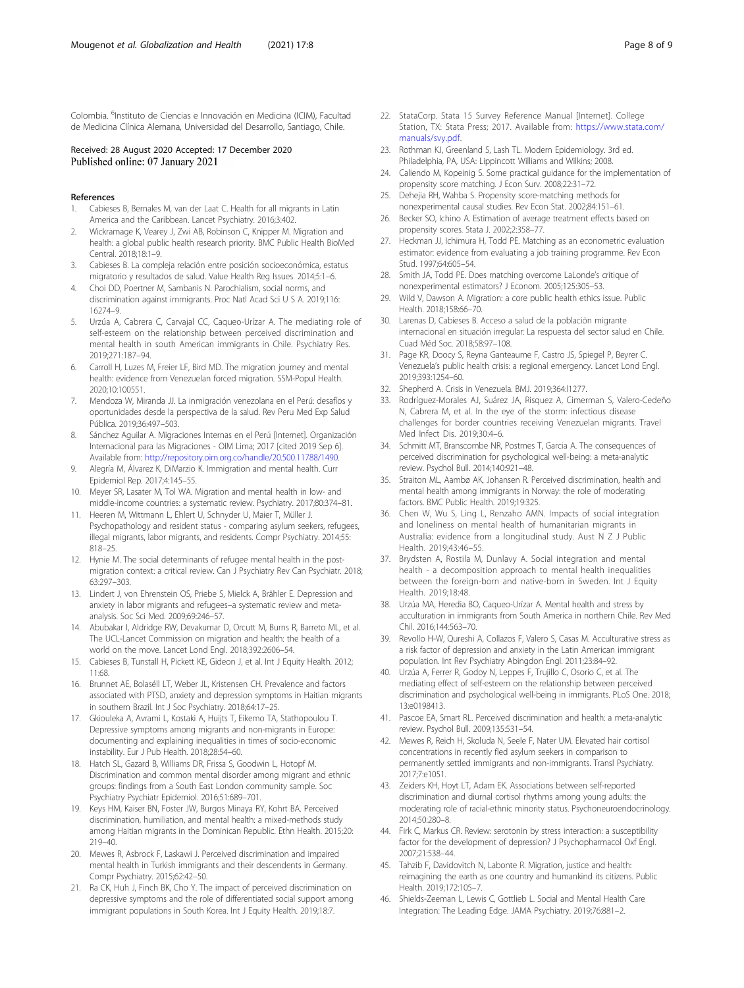<span id="page-7-0"></span>Colombia. <sup>6</sup>Instituto de Ciencias e Innovación en Medicina (ICIM), Facultad de Medicina Clínica Alemana, Universidad del Desarrollo, Santiago, Chile.

#### Received: 28 August 2020 Accepted: 17 December 2020 Published online: 07 January 2021

#### References

- 1. Cabieses B, Bernales M, van der Laat C. Health for all migrants in Latin America and the Caribbean. Lancet Psychiatry. 2016;3:402.
- 2. Wickramage K, Vearey J, Zwi AB, Robinson C, Knipper M. Migration and health: a global public health research priority. BMC Public Health BioMed Central. 2018;18:1–9.
- 3. Cabieses B. La compleja relación entre posición socioeconómica, estatus migratorio y resultados de salud. Value Health Reg Issues. 2014;5:1–6.
- 4. Choi DD, Poertner M, Sambanis N. Parochialism, social norms, and discrimination against immigrants. Proc Natl Acad Sci U S A. 2019;116: 16274–9.
- 5. Urzúa A, Cabrera C, Carvajal CC, Caqueo-Urízar A. The mediating role of self-esteem on the relationship between perceived discrimination and mental health in south American immigrants in Chile. Psychiatry Res. 2019;271:187–94.
- 6. Carroll H, Luzes M, Freier LF, Bird MD. The migration journey and mental health: evidence from Venezuelan forced migration. SSM-Popul Health. 2020;10:100551.
- Mendoza W, Miranda JJ. La inmigración venezolana en el Perú: desafíos y oportunidades desde la perspectiva de la salud. Rev Peru Med Exp Salud Pública. 2019;36:497–503.
- 8. Sánchez Aguilar A. Migraciones Internas en el Perú [Internet]. Organización Internacional para las Migraciones - OIM Lima; 2017 [cited 2019 Sep 6]. Available from: [http://repository.oim.org.co/handle/20.500.11788/1490.](http://repository.oim.org.co/handle/20.500.11788/1490)
- 9. Alegría M, Álvarez K, DiMarzio K. Immigration and mental health. Curr Epidemiol Rep. 2017;4:145–55.
- 10. Meyer SR, Lasater M, Tol WA. Migration and mental health in low- and middle-income countries: a systematic review. Psychiatry. 2017;80:374–81.
- 11. Heeren M, Wittmann L, Ehlert U, Schnyder U, Maier T, Müller J. Psychopathology and resident status - comparing asylum seekers, refugees, illegal migrants, labor migrants, and residents. Compr Psychiatry. 2014;55: 818–25.
- 12. Hynie M. The social determinants of refugee mental health in the postmigration context: a critical review. Can J Psychiatry Rev Can Psychiatr. 2018; 63:297–303.
- 13. Lindert J, von Ehrenstein OS, Priebe S, Mielck A, Brähler E. Depression and anxiety in labor migrants and refugees–a systematic review and metaanalysis. Soc Sci Med. 2009;69:246–57.
- 14. Abubakar I, Aldridge RW, Devakumar D, Orcutt M, Burns R, Barreto ML, et al. The UCL-Lancet Commission on migration and health: the health of a world on the move. Lancet Lond Engl. 2018;392:2606–54.
- 15. Cabieses B, Tunstall H, Pickett KE, Gideon J, et al. Int J Equity Health. 2012; 11:68.
- 16. Brunnet AE, Bolaséll LT, Weber JL, Kristensen CH. Prevalence and factors associated with PTSD, anxiety and depression symptoms in Haitian migrants in southern Brazil. Int J Soc Psychiatry. 2018;64:17–25.
- 17. Gkiouleka A, Avrami L, Kostaki A, Huijts T, Eikemo TA, Stathopoulou T. Depressive symptoms among migrants and non-migrants in Europe: documenting and explaining inequalities in times of socio-economic instability. Eur J Pub Health. 2018;28:54–60.
- 18. Hatch SL, Gazard B, Williams DR, Frissa S, Goodwin L, Hotopf M. Discrimination and common mental disorder among migrant and ethnic groups: findings from a South East London community sample. Soc Psychiatry Psychiatr Epidemiol. 2016;51:689–701.
- 19. Keys HM, Kaiser BN, Foster JW, Burgos Minaya RY, Kohrt BA. Perceived discrimination, humiliation, and mental health: a mixed-methods study among Haitian migrants in the Dominican Republic. Ethn Health. 2015;20: 219–40.
- 20. Mewes R, Asbrock F, Laskawi J. Perceived discrimination and impaired mental health in Turkish immigrants and their descendents in Germany. Compr Psychiatry. 2015;62:42–50.
- 21. Ra CK, Huh J, Finch BK, Cho Y. The impact of perceived discrimination on depressive symptoms and the role of differentiated social support among immigrant populations in South Korea. Int J Equity Health. 2019;18:7.
- 22. StataCorp. Stata 15 Survey Reference Manual [Internet]. College Station, TX: Stata Press; 2017. Available from: [https://www.stata.com/](https://www.stata.com/manuals/svy.pdf) [manuals/svy.pdf](https://www.stata.com/manuals/svy.pdf).
- 23. Rothman KJ, Greenland S, Lash TL. Modern Epidemiology. 3rd ed. Philadelphia, PA, USA: Lippincott Williams and Wilkins; 2008.
- 24. Caliendo M, Kopeinig S. Some practical guidance for the implementation of propensity score matching. J Econ Surv. 2008;22:31–72.
- 25. Dehejia RH, Wahba S. Propensity score-matching methods for nonexperimental causal studies. Rev Econ Stat. 2002;84:151–61.
- 26. Becker SO, Ichino A. Estimation of average treatment effects based on propensity scores. Stata J. 2002;2:358–77.
- 27. Heckman JJ, Ichimura H, Todd PE. Matching as an econometric evaluation estimator: evidence from evaluating a job training programme. Rev Econ Stud. 1997;64:605–54.
- 28. Smith JA, Todd PE. Does matching overcome LaLonde's critique of nonexperimental estimators? J Econom. 2005;125:305–53.
- 29. Wild V, Dawson A. Migration: a core public health ethics issue. Public Health. 2018;158:66–70.
- 30. Larenas D, Cabieses B. Acceso a salud de la población migrante internacional en situación irregular: La respuesta del sector salud en Chile. Cuad Méd Soc. 2018;58:97–108.
- 31. Page KR, Doocy S, Reyna Ganteaume F, Castro JS, Spiegel P, Beyrer C. Venezuela's public health crisis: a regional emergency. Lancet Lond Engl. 2019;393:1254–60.
- 32. Shepherd A. Crisis in Venezuela. BMJ. 2019;364:l1277.
- 33. Rodríguez-Morales AJ, Suárez JA, Risquez A, Cimerman S, Valero-Cedeño N, Cabrera M, et al. In the eye of the storm: infectious disease challenges for border countries receiving Venezuelan migrants. Travel Med Infect Dis. 2019;30:4–6.
- 34. Schmitt MT, Branscombe NR, Postmes T, Garcia A. The consequences of perceived discrimination for psychological well-being: a meta-analytic review. Psychol Bull. 2014;140:921–48.
- 35. Straiton ML, Aambø AK, Johansen R. Perceived discrimination, health and mental health among immigrants in Norway: the role of moderating factors. BMC Public Health. 2019;19:325.
- 36. Chen W, Wu S, Ling L, Renzaho AMN. Impacts of social integration and loneliness on mental health of humanitarian migrants in Australia: evidence from a longitudinal study. Aust N Z J Public Health. 2019;43:46–55.
- 37. Brydsten A, Rostila M, Dunlavy A. Social integration and mental health - a decomposition approach to mental health inequalities between the foreign-born and native-born in Sweden. Int J Equity Health. 2019;18:48.
- 38. Urzúa MA, Heredia BO, Caqueo-Urízar A. Mental health and stress by acculturation in immigrants from South America in northern Chile. Rev Med Chil. 2016;144:563–70.
- 39. Revollo H-W, Qureshi A, Collazos F, Valero S, Casas M. Acculturative stress as a risk factor of depression and anxiety in the Latin American immigrant population. Int Rev Psychiatry Abingdon Engl. 2011;23:84–92.
- 40. Urzúa A, Ferrer R, Godoy N, Leppes F, Trujillo C, Osorio C, et al. The mediating effect of self-esteem on the relationship between perceived discrimination and psychological well-being in immigrants. PLoS One. 2018; 13:e0198413.
- 41. Pascoe EA, Smart RL. Perceived discrimination and health: a meta-analytic review. Psychol Bull. 2009;135:531–54.
- 42. Mewes R, Reich H, Skoluda N, Seele F, Nater UM. Elevated hair cortisol concentrations in recently fled asylum seekers in comparison to permanently settled immigrants and non-immigrants. Transl Psychiatry. 2017;7:e1051.
- 43. Zeiders KH, Hoyt LT, Adam EK. Associations between self-reported discrimination and diurnal cortisol rhythms among young adults: the moderating role of racial-ethnic minority status. Psychoneuroendocrinology. 2014;50:280–8.
- 44. Firk C, Markus CR. Review: serotonin by stress interaction: a susceptibility factor for the development of depression? J Psychopharmacol Oxf Engl. 2007;21:538–44.
- 45. Tahzib F, Davidovitch N, Labonte R. Migration, justice and health: reimagining the earth as one country and humankind its citizens. Public Health. 2019;172:105–7.
- 46. Shields-Zeeman L, Lewis C, Gottlieb L. Social and Mental Health Care Integration: The Leading Edge. JAMA Psychiatry. 2019;76:881–2.